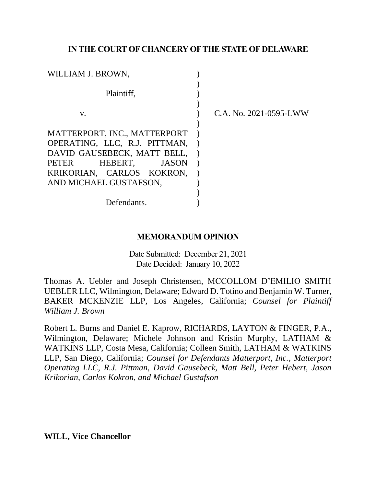## **IN THE COURT OF CHANCERY OF THE STATE OF DELAWARE**

| WILLIAM J. BROWN,                                            |                        |
|--------------------------------------------------------------|------------------------|
| Plaintiff.                                                   |                        |
| V.                                                           | C.A. No. 2021-0595-LWW |
| MATTERPORT, INC., MATTERPORT                                 |                        |
| OPERATING, LLC, R.J. PITTMAN,<br>DAVID GAUSEBECK, MATT BELL, |                        |
| HEBERT,<br>PETER<br>JASON                                    |                        |
| KRIKORIAN, CARLOS KOKRON,<br>AND MICHAEL GUSTAFSON,          |                        |
|                                                              |                        |
| Defendants.                                                  |                        |

## **MEMORANDUM OPINION**

Date Submitted: December 21, 2021 Date Decided: January 10, 2022

Thomas A. Uebler and Joseph Christensen, MCCOLLOM D'EMILIO SMITH UEBLER LLC, Wilmington, Delaware; Edward D. Totino and Benjamin W. Turner, BAKER MCKENZIE LLP, Los Angeles, California; *Counsel for Plaintiff William J. Brown*

Robert L. Burns and Daniel E. Kaprow, RICHARDS, LAYTON & FINGER, P.A., Wilmington, Delaware; Michele Johnson and Kristin Murphy, LATHAM & WATKINS LLP, Costa Mesa, California; Colleen Smith, LATHAM & WATKINS LLP, San Diego, California; *Counsel for Defendants Matterport, Inc., Matterport Operating LLC, R.J. Pittman, David Gausebeck, Matt Bell, Peter Hebert, Jason Krikorian, Carlos Kokron, and Michael Gustafson*

**WILL, Vice Chancellor**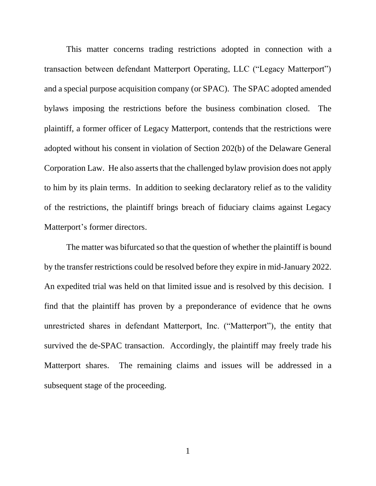This matter concerns trading restrictions adopted in connection with a transaction between defendant Matterport Operating, LLC ("Legacy Matterport") and a special purpose acquisition company (or SPAC). The SPAC adopted amended bylaws imposing the restrictions before the business combination closed. The plaintiff, a former officer of Legacy Matterport, contends that the restrictions were adopted without his consent in violation of Section 202(b) of the Delaware General Corporation Law. He also asserts that the challenged bylaw provision does not apply to him by its plain terms. In addition to seeking declaratory relief as to the validity of the restrictions, the plaintiff brings breach of fiduciary claims against Legacy Matterport's former directors.

The matter was bifurcated so that the question of whether the plaintiff is bound by the transfer restrictions could be resolved before they expire in mid-January 2022. An expedited trial was held on that limited issue and is resolved by this decision. I find that the plaintiff has proven by a preponderance of evidence that he owns unrestricted shares in defendant Matterport, Inc. ("Matterport"), the entity that survived the de-SPAC transaction. Accordingly, the plaintiff may freely trade his Matterport shares. The remaining claims and issues will be addressed in a subsequent stage of the proceeding.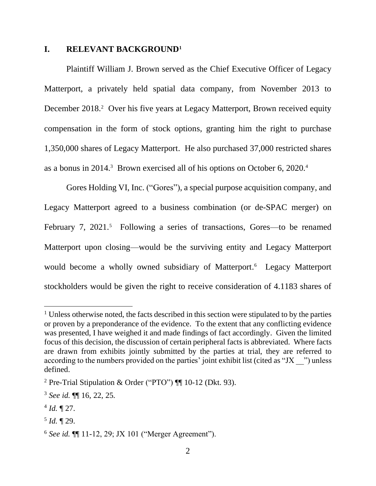#### **I. RELEVANT BACKGROUND<sup>1</sup>**

Plaintiff William J. Brown served as the Chief Executive Officer of Legacy Matterport, a privately held spatial data company, from November 2013 to December 2018.<sup>2</sup> Over his five years at Legacy Matterport, Brown received equity compensation in the form of stock options, granting him the right to purchase 1,350,000 shares of Legacy Matterport. He also purchased 37,000 restricted shares as a bonus in 2014.<sup>3</sup> Brown exercised all of his options on October 6, 2020.<sup>4</sup>

Gores Holding VI, Inc. ("Gores"), a special purpose acquisition company, and Legacy Matterport agreed to a business combination (or de-SPAC merger) on February 7, 2021.<sup>5</sup> Following a series of transactions, Gores—to be renamed Matterport upon closing—would be the surviving entity and Legacy Matterport would become a wholly owned subsidiary of Matterport. 6 Legacy Matterport stockholders would be given the right to receive consideration of 4.1183 shares of

<sup>&</sup>lt;sup>1</sup> Unless otherwise noted, the facts described in this section were stipulated to by the parties or proven by a preponderance of the evidence. To the extent that any conflicting evidence was presented, I have weighed it and made findings of fact accordingly. Given the limited focus of this decision, the discussion of certain peripheral facts is abbreviated. Where facts are drawn from exhibits jointly submitted by the parties at trial, they are referred to according to the numbers provided on the parties' joint exhibit list (cited as "JX <sup>-</sup>") unless defined.

<sup>&</sup>lt;sup>2</sup> Pre-Trial Stipulation & Order ("PTO")  $\P$  10-12 (Dkt. 93).

<sup>3</sup> *See id.* ¶¶ 16, 22, 25.

 $4$  *Id.*  $\sqrt{27}$ .

<sup>5</sup> *Id.* ¶ 29.

<sup>6</sup> *See id.* ¶¶ 11-12, 29; JX 101 ("Merger Agreement").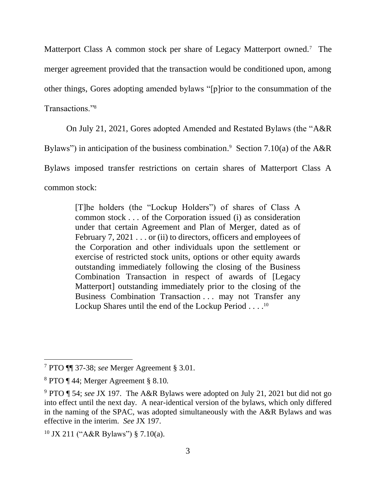Matterport Class A common stock per share of Legacy Matterport owned.<sup>7</sup> The merger agreement provided that the transaction would be conditioned upon, among other things, Gores adopting amended bylaws "[p]rior to the consummation of the Transactions."<sup>8</sup>

On July 21, 2021, Gores adopted Amended and Restated Bylaws (the "A&R

Bylaws") in anticipation of the business combination.<sup>9</sup> Section 7.10(a) of the A&R

Bylaws imposed transfer restrictions on certain shares of Matterport Class A

common stock:

[T]he holders (the "Lockup Holders") of shares of Class A common stock . . . of the Corporation issued (i) as consideration under that certain Agreement and Plan of Merger, dated as of February 7, 2021 . . . or (ii) to directors, officers and employees of the Corporation and other individuals upon the settlement or exercise of restricted stock units, options or other equity awards outstanding immediately following the closing of the Business Combination Transaction in respect of awards of [Legacy Matterport] outstanding immediately prior to the closing of the Business Combination Transaction . . . may not Transfer any Lockup Shares until the end of the Lockup Period . . . .<sup>10</sup>

<sup>7</sup> PTO ¶¶ 37-38; *see* Merger Agreement § 3.01.

<sup>8</sup> PTO ¶ 44; Merger Agreement § 8.10.

<sup>9</sup> PTO ¶ 54; *see* JX 197. The A&R Bylaws were adopted on July 21, 2021 but did not go into effect until the next day. A near-identical version of the bylaws, which only differed in the naming of the SPAC, was adopted simultaneously with the A&R Bylaws and was effective in the interim. *See* JX 197.

 $10$  JX 211 ("A&R Bylaws") § 7.10(a).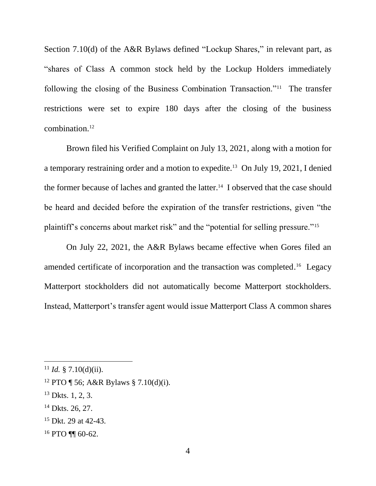Section 7.10(d) of the A&R Bylaws defined "Lockup Shares," in relevant part, as "shares of Class A common stock held by the Lockup Holders immediately following the closing of the Business Combination Transaction."<sup>11</sup> The transfer restrictions were set to expire 180 days after the closing of the business combination.<sup>12</sup>

Brown filed his Verified Complaint on July 13, 2021, along with a motion for a temporary restraining order and a motion to expedite.<sup>13</sup> On July 19, 2021, I denied the former because of laches and granted the latter.<sup>14</sup> I observed that the case should be heard and decided before the expiration of the transfer restrictions, given "the plaintiff's concerns about market risk" and the "potential for selling pressure."<sup>15</sup>

On July 22, 2021, the A&R Bylaws became effective when Gores filed an amended certificate of incorporation and the transaction was completed.<sup>16</sup> Legacy Matterport stockholders did not automatically become Matterport stockholders. Instead, Matterport's transfer agent would issue Matterport Class A common shares

<sup>&</sup>lt;sup>11</sup> *Id.* § 7.10(d)(ii).

<sup>&</sup>lt;sup>12</sup> PTO ¶ 56; A&R Bylaws § 7.10(d)(i).

<sup>13</sup> Dkts. 1, 2, 3.

 $14$  Dkts. 26, 27.

<sup>&</sup>lt;sup>15</sup> Dkt. 29 at 42-43.

 $16$  PTO ¶¶ 60-62.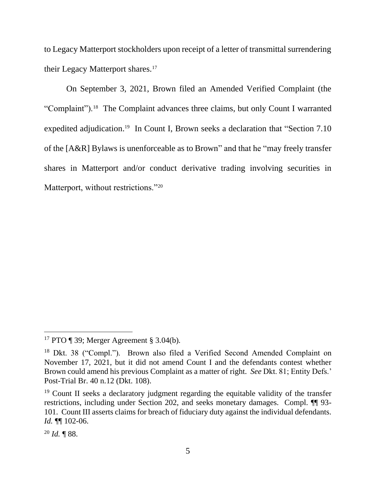to Legacy Matterport stockholders upon receipt of a letter of transmittal surrendering their Legacy Matterport shares.<sup>17</sup>

On September 3, 2021, Brown filed an Amended Verified Complaint (the "Complaint").<sup>18</sup> The Complaint advances three claims, but only Count I warranted expedited adjudication.<sup>19</sup> In Count I, Brown seeks a declaration that "Section 7.10 of the [A&R] Bylaws is unenforceable as to Brown" and that he "may freely transfer shares in Matterport and/or conduct derivative trading involving securities in Matterport, without restrictions."<sup>20</sup>

<sup>&</sup>lt;sup>17</sup> PTO ¶ 39; Merger Agreement § 3.04(b).

<sup>&</sup>lt;sup>18</sup> Dkt. 38 ("Compl."). Brown also filed a Verified Second Amended Complaint on November 17, 2021, but it did not amend Count I and the defendants contest whether Brown could amend his previous Complaint as a matter of right. *See* Dkt. 81; Entity Defs.' Post-Trial Br. 40 n.12 (Dkt. 108).

<sup>&</sup>lt;sup>19</sup> Count II seeks a declaratory judgment regarding the equitable validity of the transfer restrictions, including under Section 202, and seeks monetary damages. Compl. ¶¶ 93- 101. Count III asserts claims for breach of fiduciary duty against the individual defendants. *Id.* ¶¶ 102-06.

<sup>20</sup> *Id.* ¶ 88.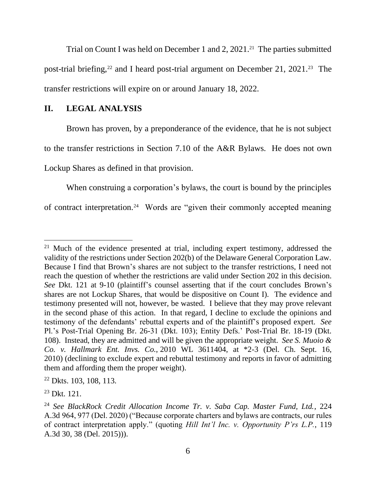Trial on Count I was held on December 1 and 2, 2021.<sup>21</sup> The parties submitted post-trial briefing,<sup>22</sup> and I heard post-trial argument on December 21, 2021.<sup>23</sup> The transfer restrictions will expire on or around January 18, 2022.

## **II. LEGAL ANALYSIS**

Brown has proven, by a preponderance of the evidence, that he is not subject to the transfer restrictions in Section 7.10 of the A&R Bylaws. He does not own Lockup Shares as defined in that provision.

When construing a corporation's bylaws, the court is bound by the principles of contract interpretation.<sup>24</sup> Words are "given their commonly accepted meaning

 $21$  Much of the evidence presented at trial, including expert testimony, addressed the validity of the restrictions under Section 202(b) of the Delaware General Corporation Law. Because I find that Brown's shares are not subject to the transfer restrictions, I need not reach the question of whether the restrictions are valid under Section 202 in this decision. *See* Dkt. 121 at 9-10 (plaintiff's counsel asserting that if the court concludes Brown's shares are not Lockup Shares, that would be dispositive on Count I). The evidence and testimony presented will not, however, be wasted. I believe that they may prove relevant in the second phase of this action. In that regard, I decline to exclude the opinions and testimony of the defendants' rebuttal experts and of the plaintiff's proposed expert. *See*  Pl.'s Post-Trial Opening Br. 26-31 (Dkt. 103); Entity Defs.' Post-Trial Br. 18-19 (Dkt. 108). Instead, they are admitted and will be given the appropriate weight. *See S. Muoio & Co. v. Hallmark Ent. Invs. Co.*, 2010 WL 3611404, at \*2-3 (Del. Ch. Sept. 16, 2010) (declining to exclude expert and rebuttal testimony and reports in favor of admitting them and affording them the proper weight).

<sup>22</sup> Dkts. 103, 108, 113.

<sup>23</sup> Dkt. 121.

<sup>24</sup> *See BlackRock Credit Allocation Income Tr. v. Saba Cap. Master Fund, Ltd.*, 224 A.3d 964, 977 (Del. 2020) ("Because corporate charters and bylaws are contracts, our rules of contract interpretation apply." (quoting *Hill Int'l Inc. v. Opportunity P'rs L.P.*, 119 A.3d 30, 38 (Del. 2015))).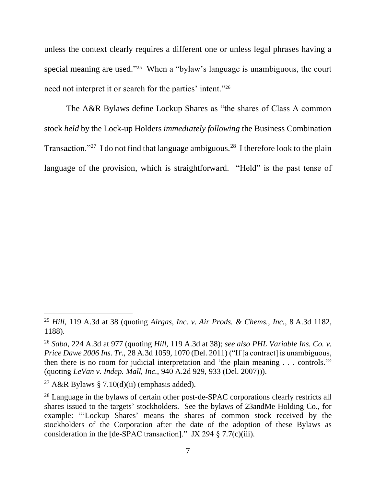unless the context clearly requires a different one or unless legal phrases having a special meaning are used." <sup>25</sup> When a "bylaw's language is unambiguous, the court need not interpret it or search for the parties' intent."<sup>26</sup>

The A&R Bylaws define Lockup Shares as "the shares of Class A common stock *held* by the Lock-up Holders *immediately following* the Business Combination Transaction."<sup>27</sup> I do not find that language ambiguous.<sup>28</sup> I therefore look to the plain language of the provision, which is straightforward. "Held" is the past tense of

<sup>25</sup> *Hill*, 119 A.3d at 38 (quoting *Airgas, Inc. v. Air Prods. & Chems., Inc.*, 8 A.3d 1182, 1188).

<sup>26</sup> *Saba*, 224 A.3d at 977 (quoting *Hill*, 119 A.3d at 38); *see also PHL Variable Ins. Co. v. Price Dawe 2006 Ins. Tr.*, 28 A.3d 1059, 1070 (Del. 2011) ("If [a contract] is unambiguous, then there is no room for judicial interpretation and 'the plain meaning . . . controls.'" (quoting *LeVan v. Indep. Mall, Inc.*, 940 A.2d 929, 933 (Del. 2007))).

<sup>&</sup>lt;sup>27</sup> A&R Bylaws § 7.10(d)(ii) (emphasis added).

<sup>&</sup>lt;sup>28</sup> Language in the bylaws of certain other post-de-SPAC corporations clearly restricts all shares issued to the targets' stockholders. See the bylaws of 23andMe Holding Co., for example: "'Lockup Shares' means the shares of common stock received by the stockholders of the Corporation after the date of the adoption of these Bylaws as consideration in the [de-SPAC transaction]." JX 294  $\S$  7.7(c)(iii).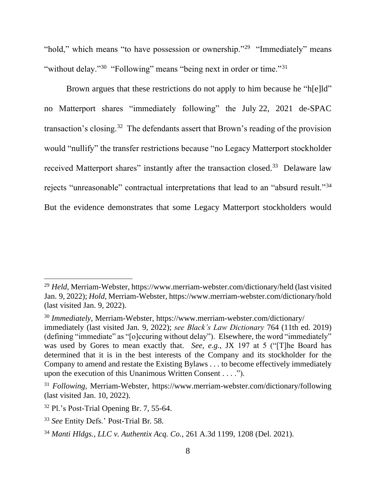"hold," which means "to have possession or ownership."<sup>29</sup> "Immediately" means "without delay."<sup>30</sup> "Following" means "being next in order or time."<sup>31</sup>

Brown argues that these restrictions do not apply to him because he "h[e]ld" no Matterport shares "immediately following" the July 22, 2021 de-SPAC transaction's closing.<sup>32</sup> The defendants assert that Brown's reading of the provision would "nullify" the transfer restrictions because "no Legacy Matterport stockholder received Matterport shares" instantly after the transaction closed.<sup>33</sup> Delaware law rejects "unreasonable" contractual interpretations that lead to an "absurd result."<sup>34</sup> But the evidence demonstrates that some Legacy Matterport stockholders would

<sup>29</sup> *Held*, Merriam-Webster, https://www.merriam-webster.com/dictionary/held (last visited Jan. 9, 2022); *Hold*, Merriam-Webster, https://www.merriam-webster.com/dictionary/hold (last visited Jan. 9, 2022).

<sup>30</sup> *Immediately*, Merriam-Webster, https://www.merriam-webster.com/dictionary/ immediately (last visited Jan. 9, 2022); *see Black's Law Dictionary* 764 (11th ed. 2019) (defining "immediate" as "[o]ccuring without delay"). Elsewhere, the word "immediately" was used by Gores to mean exactly that. *See, e.g.*, JX 197 at 5 ("[T]he Board has determined that it is in the best interests of the Company and its stockholder for the Company to amend and restate the Existing Bylaws . . . to become effectively immediately upon the execution of this Unanimous Written Consent . . . .").

<sup>31</sup> *Following*, Merriam-Webster, https://www.merriam-webster.com/dictionary/following (last visited Jan. 10, 2022).

 $32$  Pl.'s Post-Trial Opening Br. 7, 55-64.

<sup>33</sup> *See* Entity Defs.' Post-Trial Br. 58.

<sup>34</sup> *Manti Hldgs., LLC v. Authentix Acq. Co.*, 261 A.3d 1199, 1208 (Del. 2021).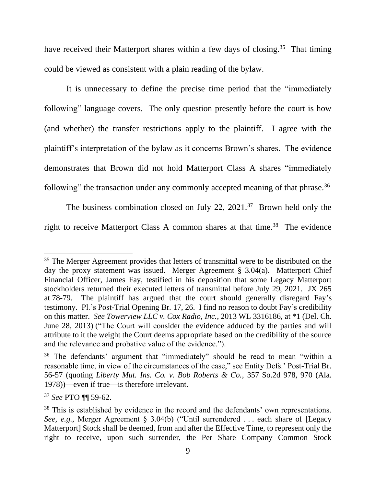have received their Matterport shares within a few days of closing.<sup>35</sup> That timing could be viewed as consistent with a plain reading of the bylaw.

It is unnecessary to define the precise time period that the "immediately following" language covers. The only question presently before the court is how (and whether) the transfer restrictions apply to the plaintiff. I agree with the plaintiff's interpretation of the bylaw as it concerns Brown's shares. The evidence demonstrates that Brown did not hold Matterport Class A shares "immediately following" the transaction under any commonly accepted meaning of that phrase.<sup>36</sup>

The business combination closed on July 22,  $2021.^{37}$  Brown held only the right to receive Matterport Class A common shares at that time.<sup>38</sup> The evidence

<sup>&</sup>lt;sup>35</sup> The Merger Agreement provides that letters of transmittal were to be distributed on the day the proxy statement was issued. Merger Agreement § 3.04(a). Matterport Chief Financial Officer, James Fay, testified in his deposition that some Legacy Matterport stockholders returned their executed letters of transmittal before July 29, 2021. JX 265 at 78-79. The plaintiff has argued that the court should generally disregard Fay's testimony. Pl.'s Post-Trial Opening Br. 17, 26. I find no reason to doubt Fay's credibility on this matter. *See Towerview LLC v. Cox Radio, Inc.*, 2013 WL 3316186, at \*1 (Del. Ch. June 28, 2013) ("The Court will consider the evidence adduced by the parties and will attribute to it the weight the Court deems appropriate based on the credibility of the source and the relevance and probative value of the evidence.").

<sup>36</sup> The defendants' argument that "immediately" should be read to mean "within a reasonable time, in view of the circumstances of the case," see Entity Defs.' Post-Trial Br. 56-57 (quoting *Liberty Mut. Ins. Co. v. Bob Roberts & Co.*, 357 So.2d 978, 970 (Ala. 1978))—even if true—is therefore irrelevant.

<sup>37</sup> *See* PTO ¶¶ 59-62.

<sup>&</sup>lt;sup>38</sup> This is established by evidence in the record and the defendants' own representations. *See, e.g.*, Merger Agreement § 3.04(b) ("Until surrendered ... each share of [Legacy Matterport] Stock shall be deemed, from and after the Effective Time, to represent only the right to receive, upon such surrender, the Per Share Company Common Stock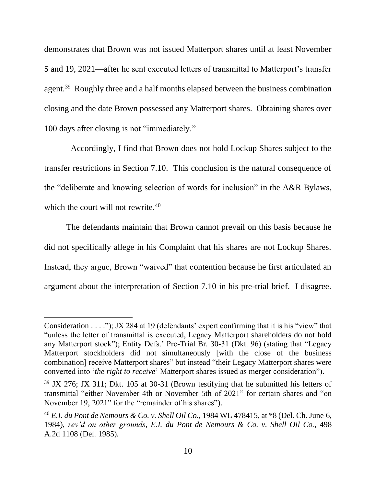demonstrates that Brown was not issued Matterport shares until at least November 5 and 19, 2021—after he sent executed letters of transmittal to Matterport's transfer agent.<sup>39</sup> Roughly three and a half months elapsed between the business combination closing and the date Brown possessed any Matterport shares. Obtaining shares over 100 days after closing is not "immediately."

 Accordingly, I find that Brown does not hold Lockup Shares subject to the transfer restrictions in Section 7.10. This conclusion is the natural consequence of the "deliberate and knowing selection of words for inclusion" in the A&R Bylaws, which the court will not rewrite.<sup>40</sup>

The defendants maintain that Brown cannot prevail on this basis because he did not specifically allege in his Complaint that his shares are not Lockup Shares. Instead, they argue, Brown "waived" that contention because he first articulated an argument about the interpretation of Section 7.10 in his pre-trial brief. I disagree.

Consideration . . . ."); JX 284 at 19 (defendants' expert confirming that it is his "view" that "unless the letter of transmittal is executed, Legacy Matterport shareholders do not hold any Matterport stock"); Entity Defs.' Pre-Trial Br. 30-31 (Dkt. 96) (stating that "Legacy Matterport stockholders did not simultaneously [with the close of the business combination] receive Matterport shares" but instead "their Legacy Matterport shares were converted into '*the right to receive*' Matterport shares issued as merger consideration").

<sup>&</sup>lt;sup>39</sup> JX 276; JX 311; Dkt. 105 at 30-31 (Brown testifying that he submitted his letters of transmittal "either November 4th or November 5th of 2021" for certain shares and "on November 19, 2021" for the "remainder of his shares").

<sup>40</sup> *E.I. du Pont de Nemours & Co. v. Shell Oil Co.*, 1984 WL 478415, at \*8 (Del. Ch. June 6, 1984), *rev'd on other grounds*, *E.I. du Pont de Nemours & Co. v. Shell Oil Co.*, 498 A.2d 1108 (Del. 1985).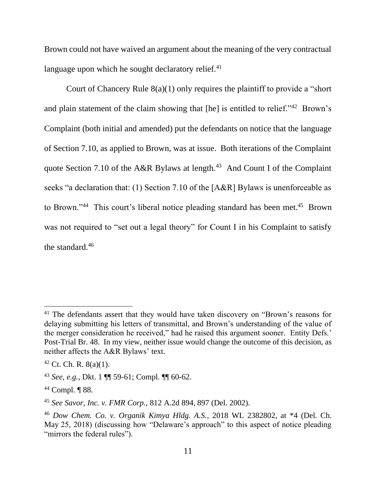Brown could not have waived an argument about the meaning of the very contractual language upon which he sought declaratory relief. $41$ 

Court of Chancery Rule  $8(a)(1)$  only requires the plaintiff to provide a "short" and plain statement of the claim showing that [he] is entitled to relief."<sup>42</sup> Brown's Complaint (both initial and amended) put the defendants on notice that the language of Section 7.10, as applied to Brown, was at issue. Both iterations of the Complaint quote Section 7.10 of the A&R Bylaws at length.<sup>43</sup> And Count I of the Complaint seeks "a declaration that: (1) Section 7.10 of the [A&R] Bylaws is unenforceable as to Brown."<sup>44</sup> This court's liberal notice pleading standard has been met.<sup>45</sup> Brown was not required to "set out a legal theory" for Count I in his Complaint to satisfy the standard.<sup>46</sup>

<sup>&</sup>lt;sup>41</sup> The defendants assert that they would have taken discovery on "Brown's reasons for delaying submitting his letters of transmittal, and Brown's understanding of the value of the merger consideration he received," had he raised this argument sooner. Entity Defs.' Post-Trial Br. 48. In my view, neither issue would change the outcome of this decision, as neither affects the A&R Bylaws' text.

 $42$  Ct. Ch. R.  $8(a)(1)$ .

<sup>43</sup> *See, e.g.*, Dkt. 1 ¶¶ 59-61; Compl. ¶¶ 60-62.

<sup>44</sup> Compl. ¶ 88.

<sup>45</sup> *See Savor, Inc. v. FMR Corp.*, 812 A.2d 894, 897 (Del. 2002).

<sup>46</sup> *Dow Chem. Co. v. Organik Kimya Hldg. A.S.*, 2018 WL 2382802, at \*4 (Del. Ch. May 25, 2018) (discussing how "Delaware's approach" to this aspect of notice pleading "mirrors the federal rules").